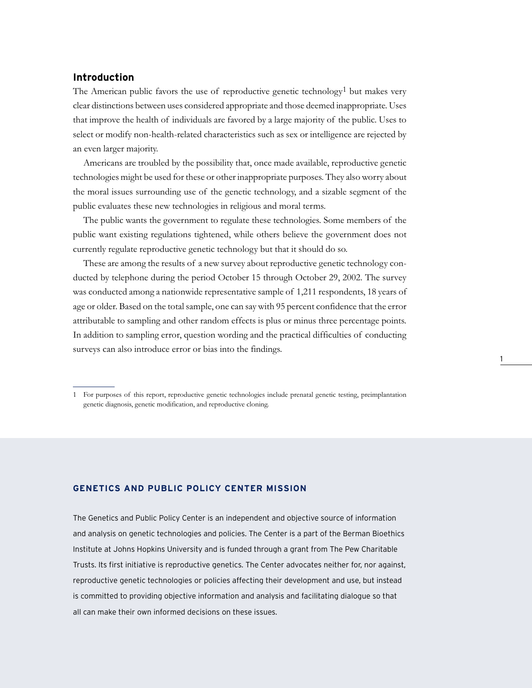# **Introduction**

The American public favors the use of reproductive genetic technology<sup>1</sup> but makes very clear distinctions between uses considered appropriate and those deemed inappropriate. Uses that improve the health of individuals are favored by a large majority of the public. Uses to select or modify non-health-related characteristics such as sex or intelligence are rejected by an even larger majority.

Americans are troubled by the possibility that, once made available, reproductive genetic technologies might be used for these or other inappropriate purposes. They also worry about the moral issues surrounding use of the genetic technology, and a sizable segment of the public evaluates these new technologies in religious and moral terms.

The public wants the government to regulate these technologies. Some members of the public want existing regulations tightened, while others believe the government does not currently regulate reproductive genetic technology but that it should do so.

These are among the results of a new survey about reproductive genetic technology conducted by telephone during the period October 15 through October 29, 2002. The survey was conducted among a nationwide representative sample of 1,211 respondents, 18 years of age or older. Based on the total sample, one can say with 95 percent confidence that the error attributable to sampling and other random effects is plus or minus three percentage points. In addition to sampling error, question wording and the practical difficulties of conducting surveys can also introduce error or bias into the findings.

1

## **GENETICS AND PUBLIC POLICY CENTER MISSION**

The Genetics and Public Policy Center is an independent and objective source of information and analysis on genetic technologies and policies. The Center is a part of the Berman Bioethics Institute at Johns Hopkins University and is funded through a grant from The Pew Charitable Trusts. Its first initiative is reproductive genetics. The Center advocates neither for, nor against, reproductive genetic technologies or policies affecting their development and use, but instead is committed to providing objective information and analysis and facilitating dialogue so that all can make their own informed decisions on these issues.

<sup>1</sup> For purposes of this report, reproductive genetic technologies include prenatal genetic testing, preimplantation genetic diagnosis, genetic modification, and reproductive cloning.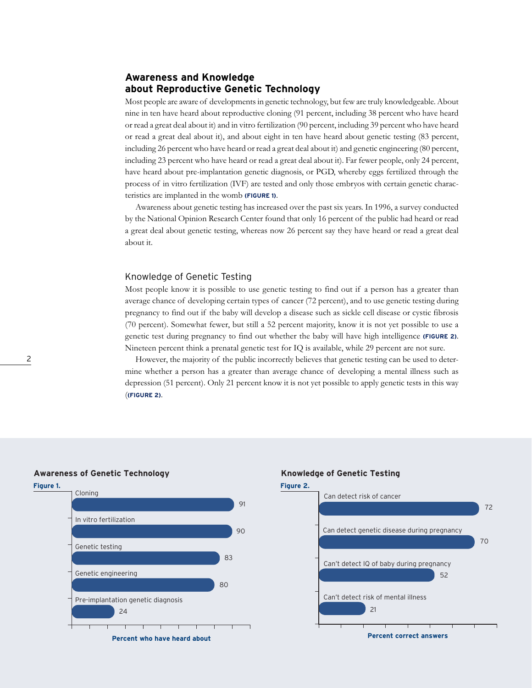# **Awareness and Knowledge about Reproductive Genetic Technology**

Most people are aware of developments in genetic technology, but few are truly knowledgeable. About nine in ten have heard about reproductive cloning (91 percent, including 38 percent who have heard or read a great deal about it) and in vitro fertilization (90 percent, including 39 percent who have heard or read a great deal about it), and about eight in ten have heard about genetic testing (83 percent, including 26 percent who have heard or read a great deal about it) and genetic engineering (80 percent, including 23 percent who have heard or read a great deal about it). Far fewer people, only 24 percent, have heard about pre-implantation genetic diagnosis, or PGD, whereby eggs fertilized through the process of in vitro fertilization (IVF) are tested and only those embryos with certain genetic characteristics are implanted in the womb **(FIGURE 1)**.

Awareness about genetic testing has increased over the past six years. In 1996, a survey conducted by the National Opinion Research Center found that only 16 percent of the public had heard or read a great deal about genetic testing, whereas now 26 percent say they have heard or read a great deal about it.

## Knowledge of Genetic Testing

Most people know it is possible to use genetic testing to find out if a person has a greater than average chance of developing certain types of cancer (72 percent), and to use genetic testing during pregnancy to find out if the baby will develop a disease such as sickle cell disease or cystic fibrosis (70 percent). Somewhat fewer, but still a 52 percent majority, know it is not yet possible to use a genetic test during pregnancy to find out whether the baby will have high intelligence **(FIGURE 2)**. Nineteen percent think a prenatal genetic test for IQ is available, while 29 percent are not sure.

However, the majority of the public incorrectly believes that genetic testing can be used to determine whether a person has a greater than average chance of developing a mental illness such as depression (51 percent). Only 21 percent know it is not yet possible to apply genetic tests in this way (**(FIGURE 2)**.



## **Knowledge of Genetic Testing**

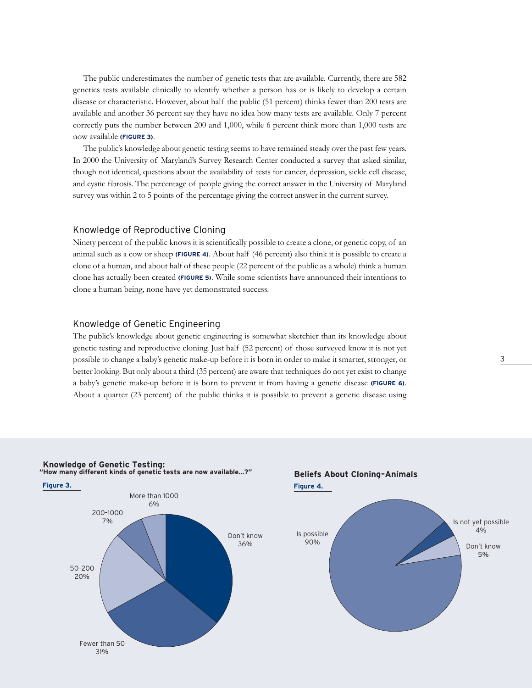The public underestimates the number of genetic tests that are available. Currently, there are 582 genetics tests available clinically to identify whether a person has or is likely to develop a certain disease or characteristic. However, about half the public (51 percent) thinks fewer than 200 tests are available and another 36 percent say they have no idea how many tests are available. Only 7 percent correctly puts the number between 200 and 1,000, while 6 percent think more than 1,000 tests are now available **(FIGURE 3)**.

The public's knowledge about genetic testing seems to have remained steady over the past few years. In 2000 the University of Maryland's Survey Research Center conducted a survey that asked similar, though not identical, questions about the availability of tests for cancer, depression, sickle cell disease, and cystic fibrosis. The percentage of people giving the correct answer in the University of Maryland survey was within 2 to 5 points of the percentage giving the correct answer in the current survey.

## Knowledge of Reproductive Cloning

Ninety percent of the public knows it is scientifically possible to create a clone, or genetic copy, of an animal such as a cow or sheep **(FIGURE 4)**. About half (46 percent) also think it is possible to create a clone of a human, and about half of these people (22 percent of the public as a whole) think a human clone has actually been created **(FIGURE 5)**. While some scientists have announced their intentions to clone a human being, none have yet demonstrated success.

## Knowledge of Genetic Engineering

The public's knowledge about genetic engineering is somewhat sketchier than its knowledge about genetic testing and reproductive cloning. Just half (52 percent) of those surveyed know it is not yet possible to change a baby's genetic make-up before it is born in order to make it smarter, stronger, or better looking. But only about a third (35 percent) are aware that techniques do not yet exist to change a baby's genetic make-up before it is born to prevent it from having a genetic disease **(FIGURE 6)**. About a quarter (23 percent) of the public thinks it is possible to prevent a genetic disease using





Don't know 5%

Is not yet possible 4%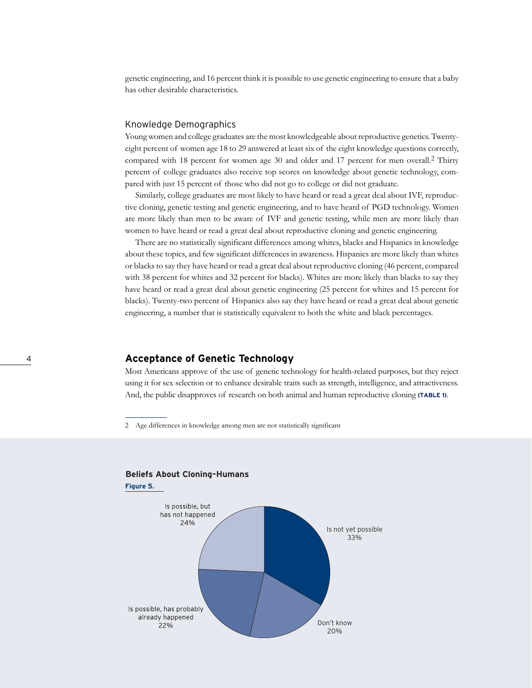genetic engineering, and 16 percent think it is possible to use genetic engineering to ensure that a baby has other desirable characteristics.

## Knowledge Demographics

Young women and college graduates are the most knowledgeable about reproductive genetics. Twentyeight percent of women age 18 to 29 answered at least six of the eight knowledge questions correctly, compared with 18 percent for women age 30 and older and 17 percent for men overall.2 Thirty percent of college graduates also receive top scores on knowledge about genetic technology, compared with just 15 percent of those who did not go to college or did not graduate.

Similarly, college graduates are most likely to have heard or read a great deal about IVF, reproductive cloning, genetic testing and genetic engineering, and to have heard of PGD technology. Women are more likely than men to be aware of IVF and genetic testing, while men are more likely than women to have heard or read a great deal about reproductive cloning and genetic engineering.

There are no statistically significant differences among whites, blacks and Hispanics in knowledge about these topics, and few significant differences in awareness. Hispanics are more likely than whites or blacks to say they have heard or read a great deal about reproductive cloning (46 percent, compared with 38 percent for whites and 32 percent for blacks). Whites are more likely than blacks to say they have heard or read a great deal about genetic engineering (25 percent for whites and 15 percent for blacks). Twenty-two percent of Hispanics also say they have heard or read a great deal about genetic engineering, a number that is statistically equivalent to both the white and black percentages.

## **Acceptance of Genetic Technology**

Most Americans approve of the use of genetic technology for health-related purposes, but they reject using it for sex selection or to enhance desirable traits such as strength, intelligence, and attractiveness. And, the public disapproves of research on both animal and human reproductive cloning **(TABLE 1)**.

2 Age differences in knowledge among men are not statistically significant.



## **Figure 5. Beliefs About Cloning–Humans**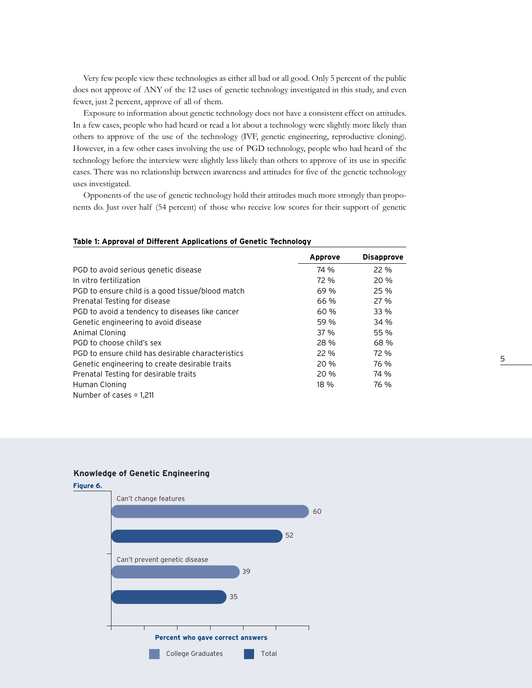Very few people view these technologies as either all bad or all good. Only 5 percent of the public does not approve of ANY of the 12 uses of genetic technology investigated in this study, and even fewer, just 2 percent, approve of all of them.

Exposure to information about genetic technology does not have a consistent effect on attitudes. In a few cases, people who had heard or read a lot about a technology were slightly more likely than others to approve of the use of the technology (IVF, genetic engineering, reproductive cloning). However, in a few other cases involving the use of PGD technology, people who had heard of the technology before the interview were slightly less likely than others to approve of its use in specific cases. There was no relationship between awareness and attitudes for five of the genetic technology uses investigated.

Opponents of the use of genetic technology hold their attitudes much more strongly than proponents do. Just over half (54 percent) of those who receive low scores for their support of genetic

# **Table 1: Approval of Different Applications of Genetic Technology**

|                                                   | Approve | <b>Disapprove</b> |
|---------------------------------------------------|---------|-------------------|
| PGD to avoid serious genetic disease              | 74 %    | 22 %              |
| In vitro fertilization                            | 72 %    | 20 %              |
| PGD to ensure child is a good tissue/blood match  | 69 %    | 25 %              |
| Prenatal Testing for disease                      | 66 %    | 27 %              |
| PGD to avoid a tendency to diseases like cancer   | 60 %    | 33 %              |
| Genetic engineering to avoid disease              | 59 %    | 34 %              |
| Animal Cloning                                    | $.37\%$ | 55 %              |
| PGD to choose child's sex                         | 28 %    | 68 %              |
| PGD to ensure child has desirable characteristics | 22%     | 72%               |
| Genetic engineering to create desirable traits    | 20 %    | 76 %              |
| Prenatal Testing for desirable traits             | 20%     | 74 %              |
| Human Cloning                                     | 18 %    | 76 %              |
| Number of cases $= 1,211$                         |         |                   |

## **Knowledge of Genetic Engineering**

**Figure 6.**

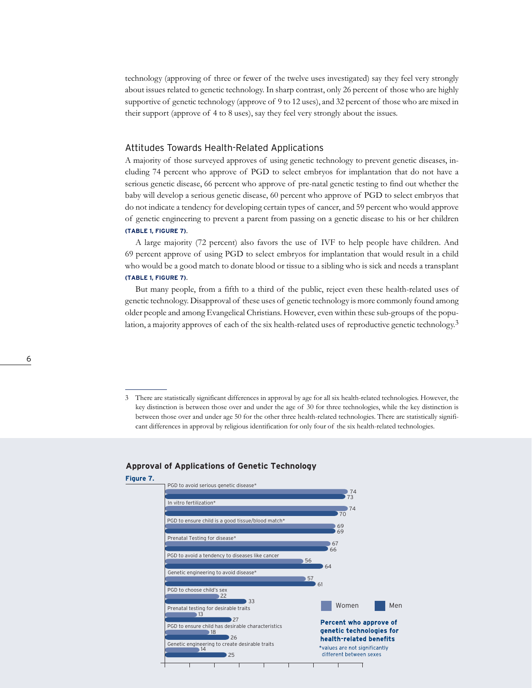technology (approving of three or fewer of the twelve uses investigated) say they feel very strongly about issues related to genetic technology. In sharp contrast, only 26 percent of those who are highly supportive of genetic technology (approve of 9 to 12 uses), and 32 percent of those who are mixed in their support (approve of 4 to 8 uses), say they feel very strongly about the issues.

## Attitudes Towards Health-Related Applications

A majority of those surveyed approves of using genetic technology to prevent genetic diseases, including 74 percent who approve of PGD to select embryos for implantation that do not have a serious genetic disease, 66 percent who approve of pre-natal genetic testing to find out whether the baby will develop a serious genetic disease, 60 percent who approve of PGD to select embryos that do not indicate a tendency for developing certain types of cancer, and 59 percent who would approve of genetic engineering to prevent a parent from passing on a genetic disease to his or her children **(TABLE 1, FIGURE 7)**.

A large majority (72 percent) also favors the use of IVF to help people have children. And 69 percent approve of using PGD to select embryos for implantation that would result in a child who would be a good match to donate blood or tissue to a sibling who is sick and needs a transplant **(TABLE 1, FIGURE 7)**.

But many people, from a fifth to a third of the public, reject even these health-related uses of genetic technology. Disapproval of these uses of genetic technology is more commonly found among older people and among Evangelical Christians. However, even within these sub-groups of the population, a majority approves of each of the six health-related uses of reproductive genetic technology.3



## **Approval of Applications of Genetic Technology**

<sup>3</sup> There are statistically significant differences in approval by age for all six health-related technologies. However, the key distinction is between those over and under the age of 30 for three technologies, while the key distinction is between those over and under age 50 for the other three health-related technologies. There are statistically significant differences in approval by religious identification for only four of the six health-related technologies.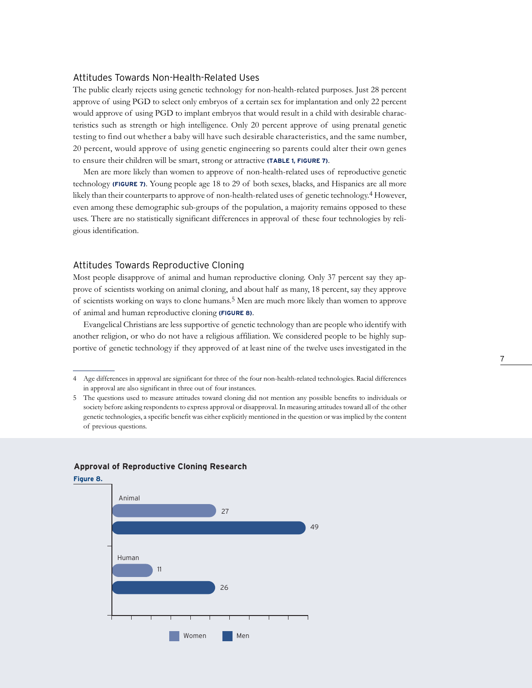## Attitudes Towards Non-Health-Related Uses

The public clearly rejects using genetic technology for non-health-related purposes. Just 28 percent approve of using PGD to select only embryos of a certain sex for implantation and only 22 percent would approve of using PGD to implant embryos that would result in a child with desirable characteristics such as strength or high intelligence. Only 20 percent approve of using prenatal genetic testing to find out whether a baby will have such desirable characteristics, and the same number, 20 percent, would approve of using genetic engineering so parents could alter their own genes to ensure their children will be smart, strong or attractive **(TABLE 1, FIGURE 7)**.

Men are more likely than women to approve of non-health-related uses of reproductive genetic technology **(FIGURE 7)**. Young people age 18 to 29 of both sexes, blacks, and Hispanics are all more likely than their counterparts to approve of non-health-related uses of genetic technology.4 However, even among these demographic sub-groups of the population, a majority remains opposed to these uses. There are no statistically significant differences in approval of these four technologies by religious identification.

## Attitudes Towards Reproductive Cloning

Most people disapprove of animal and human reproductive cloning. Only 37 percent say they approve of scientists working on animal cloning, and about half as many, 18 percent, say they approve of scientists working on ways to clone humans.5 Men are much more likely than women to approve of animal and human reproductive cloning **(FIGURE 8)**.

Evangelical Christians are less supportive of genetic technology than are people who identify with another religion, or who do not have a religious affiliation. We considered people to be highly supportive of genetic technology if they approved of at least nine of the twelve uses investigated in the



#### **Approval of Reproductive Cloning Research**

<sup>4</sup> Age differences in approval are significant for three of the four non-health-related technologies. Racial differences in approval are also significant in three out of four instances.

<sup>5</sup> The questions used to measure attitudes toward cloning did not mention any possible benefits to individuals or society before asking respondents to express approval or disapproval. In measuring attitudes toward all of the other genetic technologies, a specific benefit was either explicitly mentioned in the question or was implied by the content of previous questions.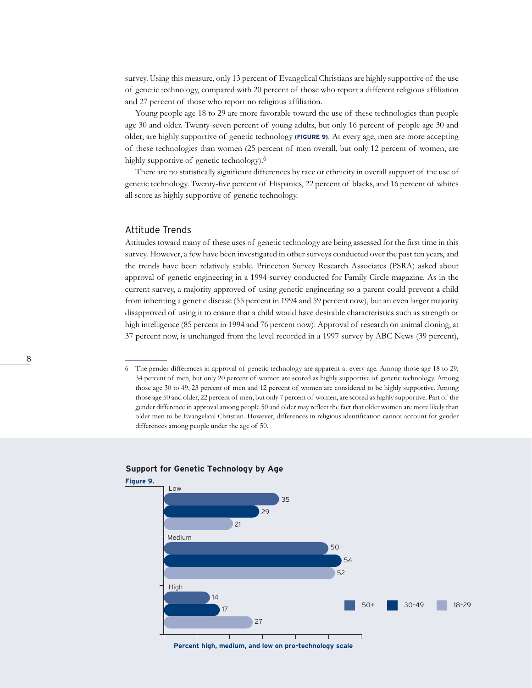survey. Using this measure, only 13 percent of Evangelical Christians are highly supportive of the use of genetic technology, compared with 20 percent of those who report a different religious affiliation and 27 percent of those who report no religious affiliation.

Young people age 18 to 29 are more favorable toward the use of these technologies than people age 30 and older. Twenty-seven percent of young adults, but only 16 percent of people age 30 and older, are highly supportive of genetic technology **(FIGURE 9)**. At every age, men are more accepting of these technologies than women (25 percent of men overall, but only 12 percent of women, are highly supportive of genetic technology).<sup>6</sup>

There are no statistically significant differences by race or ethnicity in overall support of the use of genetic technology. Twenty-five percent of Hispanics, 22 percent of blacks, and 16 percent of whites all score as highly supportive of genetic technology.

## Attitude Trends

Attitudes toward many of these uses of genetic technology are being assessed for the first time in this survey. However, a few have been investigated in other surveys conducted over the past ten years, and the trends have been relatively stable. Princeton Survey Research Associates (PSRA) asked about approval of genetic engineering in a 1994 survey conducted for Family Circle magazine. As in the current survey, a majority approved of using genetic engineering so a parent could prevent a child from inheriting a genetic disease (55 percent in 1994 and 59 percent now), but an even larger majority disapproved of using it to ensure that a child would have desirable characteristics such as strength or high intelligence (85 percent in 1994 and 76 percent now). Approval of research on animal cloning, at 37 percent now, is unchanged from the level recorded in a 1997 survey by ABC News (39 percent),





**Percent high, medium, and low on pro-technology scale**

<sup>6</sup> The gender differences in approval of genetic technology are apparent at every age. Among those age 18 to 29, 34 percent of men, but only 20 percent of women are scored as highly supportive of genetic technology. Among those age 30 to 49, 23 percent of men and 12 percent of women are considered to be highly supportive. Among those age 50 and older, 22 percent of men, but only 7 percent of women, are scored as highly supportive. Part of the gender difference in approval among people 50 and older may reflect the fact that older women are more likely than older men to be Evangelical Christian. However, differences in religious identification cannot account for gender differences among people under the age of 50.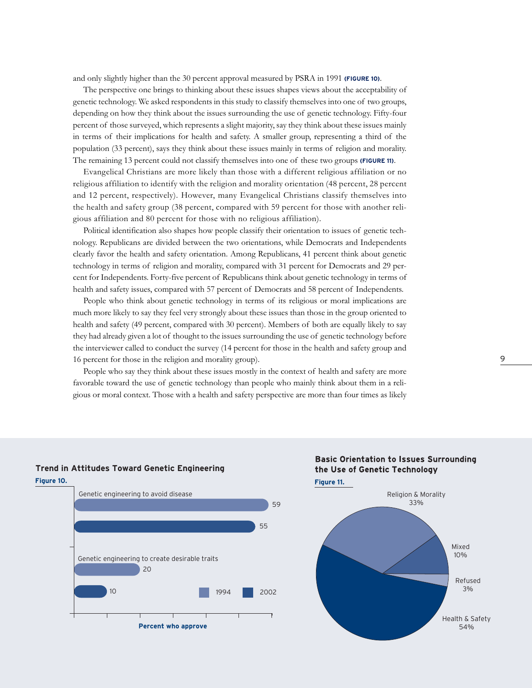and only slightly higher than the 30 percent approval measured by PSRA in 1991 **(FIGURE 10)**.

The perspective one brings to thinking about these issues shapes views about the acceptability of genetic technology. We asked respondents in this study to classify themselves into one of two groups, depending on how they think about the issues surrounding the use of genetic technology. Fifty-four percent of those surveyed, which represents a slight majority, say they think about these issues mainly in terms of their implications for health and safety. A smaller group, representing a third of the population (33 percent), says they think about these issues mainly in terms of religion and morality. The remaining 13 percent could not classify themselves into one of these two groups **(FIGURE 11)**.

Evangelical Christians are more likely than those with a different religious affiliation or no religious affiliation to identify with the religion and morality orientation (48 percent, 28 percent and 12 percent, respectively). However, many Evangelical Christians classify themselves into the health and safety group (38 percent, compared with 59 percent for those with another religious affiliation and 80 percent for those with no religious affiliation).

Political identification also shapes how people classify their orientation to issues of genetic technology. Republicans are divided between the two orientations, while Democrats and Independents clearly favor the health and safety orientation. Among Republicans, 41 percent think about genetic technology in terms of religion and morality, compared with 31 percent for Democrats and 29 percent for Independents. Forty-five percent of Republicans think about genetic technology in terms of health and safety issues, compared with 57 percent of Democrats and 58 percent of Independents.

People who think about genetic technology in terms of its religious or moral implications are much more likely to say they feel very strongly about these issues than those in the group oriented to health and safety (49 percent, compared with 30 percent). Members of both are equally likely to say they had already given a lot of thought to the issues surrounding the use of genetic technology before the interviewer called to conduct the survey (14 percent for those in the health and safety group and 16 percent for those in the religion and morality group).

People who say they think about these issues mostly in the context of health and safety are more favorable toward the use of genetic technology than people who mainly think about them in a religious or moral context. Those with a health and safety perspective are more than four times as likely



**Trend in Attitudes Toward Genetic Engineering**



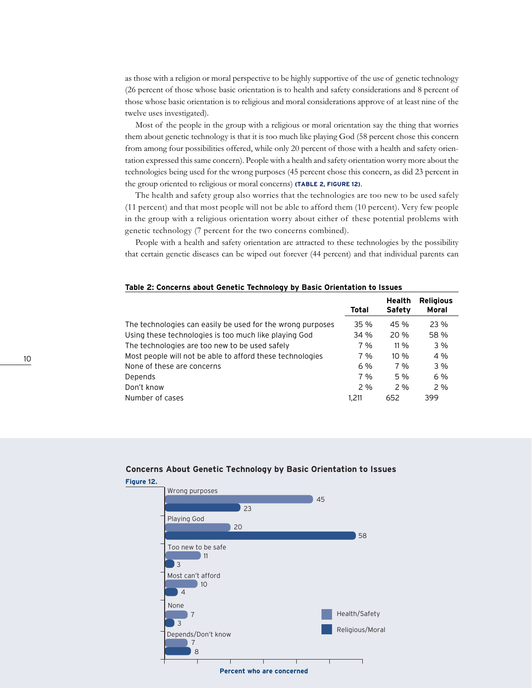as those with a religion or moral perspective to be highly supportive of the use of genetic technology (26 percent of those whose basic orientation is to health and safety considerations and 8 percent of those whose basic orientation is to religious and moral considerations approve of at least nine of the twelve uses investigated).

Most of the people in the group with a religious or moral orientation say the thing that worries them about genetic technology is that it is too much like playing God (58 percent chose this concern from among four possibilities offered, while only 20 percent of those with a health and safety orientation expressed this same concern). People with a health and safety orientation worry more about the technologies being used for the wrong purposes (45 percent chose this concern, as did 23 percent in the group oriented to religious or moral concerns) **(TABLE 2, FIGURE 12)**.

The health and safety group also worries that the technologies are too new to be used safely (11 percent) and that most people will not be able to afford them (10 percent). Very few people in the group with a religious orientation worry about either of these potential problems with genetic technology (7 percent for the two concerns combined).

People with a health and safety orientation are attracted to these technologies by the possibility that certain genetic diseases can be wiped out forever (44 percent) and that individual parents can

|                                                            | Total | <b>Health</b><br>Safety | <b>Religious</b><br>Moral |
|------------------------------------------------------------|-------|-------------------------|---------------------------|
| The technologies can easily be used for the wrong purposes | 35%   | 45 %                    | 23 %                      |
| Using these technologies is too much like playing God      | 34 %  | 20 %                    | 58 %                      |
| The technologies are too new to be used safely             | 7 %   | $11\%$                  | 3%                        |
| Most people will not be able to afford these technologies  | 7 %   | $10\%$                  | $4\%$                     |
| None of these are concerns                                 | 6%    | 7 %                     | 3 %                       |
| Depends                                                    | 7%    | 5%                      | 6 %                       |
| Don't know                                                 | 2%    | 2%                      | 2%                        |
| Number of cases                                            | 1.211 | 652                     | 399                       |

## **Table 2: Concerns about Genetic Technology by Basic Orientation to Issues**

# **Concerns About Genetic Technology by Basic Orientation to Issues**

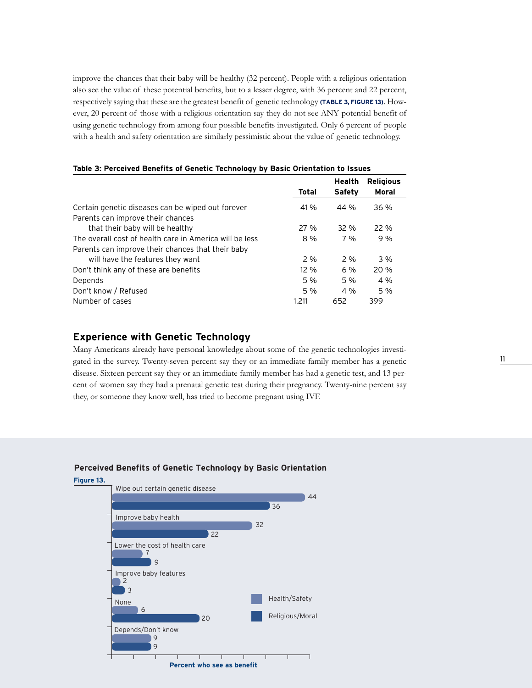improve the chances that their baby will be healthy (32 percent). People with a religious orientation also see the value of these potential benefits, but to a lesser degree, with 36 percent and 22 percent, respectively saying that these are the greatest benefit of genetic technology **(TABLE 3, FIGURE 13)**. However, 20 percent of those with a religious orientation say they do not see ANY potential benefit of using genetic technology from among four possible benefits investigated. Only 6 percent of people with a health and safety orientation are similarly pessimistic about the value of genetic technology.

|                                                                                        |        | Health        | <b>Religious</b> |
|----------------------------------------------------------------------------------------|--------|---------------|------------------|
|                                                                                        | Total  | <b>Safety</b> | Moral            |
| Certain genetic diseases can be wiped out forever<br>Parents can improve their chances | 41 %   | 44 %          | 36 %             |
| that their baby will be healthy                                                        | 27 %   | 32%           | 22 %             |
| The overall cost of health care in America will be less                                | 8 %    | 7 %           | 9 %              |
| Parents can improve their chances that their baby                                      |        |               |                  |
| will have the features they want                                                       | 2%     | 2%            | 3 %              |
| Don't think any of these are benefits                                                  | $12\%$ | 6 %           | 20 %             |
| Depends                                                                                | 5 %    | 5 %           | 4 %              |
| Don't know / Refused                                                                   | 5 %    | 4 %           | 5 %              |
| Number of cases                                                                        | 1.211  | 652           | 399              |

#### **Table 3: Perceived Benefits of Genetic Technology by Basic Orientation to Issues**

## **Experience with Genetic Technology**

Many Americans already have personal knowledge about some of the genetic technologies investigated in the survey. Twenty-seven percent say they or an immediate family member has a genetic disease. Sixteen percent say they or an immediate family member has had a genetic test, and 13 percent of women say they had a prenatal genetic test during their pregnancy. Twenty-nine percent say they, or someone they know well, has tried to become pregnant using IVF.

#### Depends/Don't know None Improve baby features Lower the cost of health care Improve baby health Wipe out certain genetic disease 44 Health/Safety Religious/Moral **Figure 13.** 36 32 22 7 9 2 3 20 6 9 9 **Percent who see as benefit**

#### **Perceived Benefits of Genetic Technology by Basic Orientation**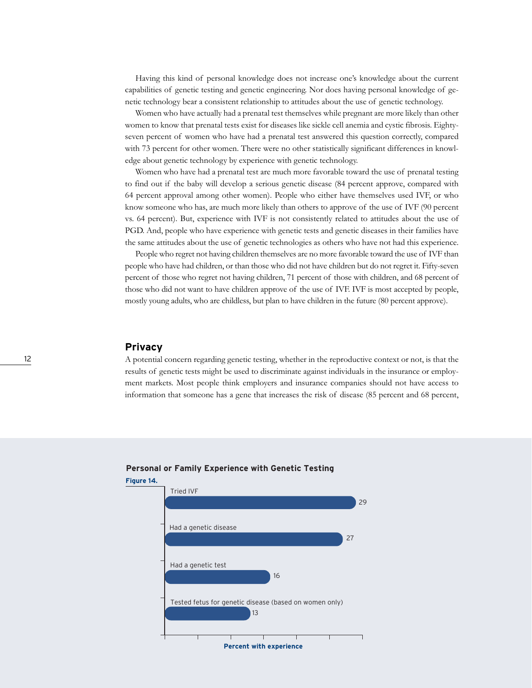Having this kind of personal knowledge does not increase one's knowledge about the current capabilities of genetic testing and genetic engineering. Nor does having personal knowledge of genetic technology bear a consistent relationship to attitudes about the use of genetic technology.

Women who have actually had a prenatal test themselves while pregnant are more likely than other women to know that prenatal tests exist for diseases like sickle cell anemia and cystic fibrosis. Eightyseven percent of women who have had a prenatal test answered this question correctly, compared with 73 percent for other women. There were no other statistically significant differences in knowledge about genetic technology by experience with genetic technology.

Women who have had a prenatal test are much more favorable toward the use of prenatal testing to find out if the baby will develop a serious genetic disease (84 percent approve, compared with 64 percent approval among other women). People who either have themselves used IVF, or who know someone who has, are much more likely than others to approve of the use of IVF (90 percent vs. 64 percent). But, experience with IVF is not consistently related to attitudes about the use of PGD. And, people who have experience with genetic tests and genetic diseases in their families have the same attitudes about the use of genetic technologies as others who have not had this experience.

People who regret not having children themselves are no more favorable toward the use of IVF than people who have had children, or than those who did not have children but do not regret it. Fifty-seven percent of those who regret not having children, 71 percent of those with children, and 68 percent of those who did not want to have children approve of the use of IVF. IVF is most accepted by people, mostly young adults, who are childless, but plan to have children in the future (80 percent approve).

## **Privacy**

A potential concern regarding genetic testing, whether in the reproductive context or not, is that the results of genetic tests might be used to discriminate against individuals in the insurance or employment markets. Most people think employers and insurance companies should not have access to information that someone has a gene that increases the risk of disease (85 percent and 68 percent,



## **Personal or Family Experience with Genetic Testing**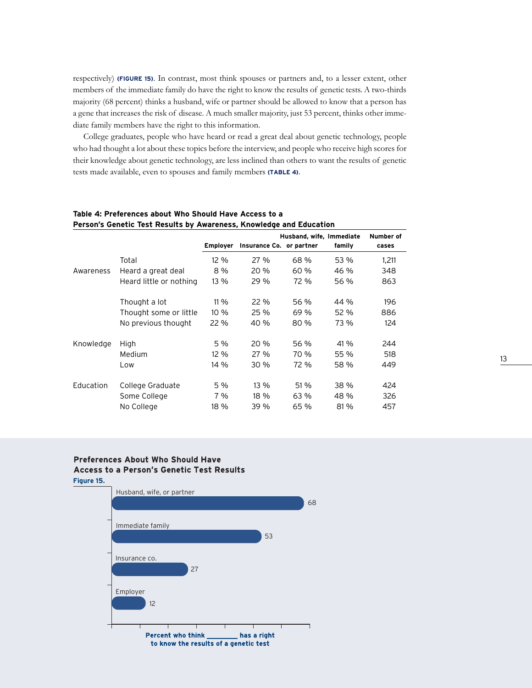respectively) **(FIGURE 15)**. In contrast, most think spouses or partners and, to a lesser extent, other members of the immediate family do have the right to know the results of genetic tests. A two-thirds majority (68 percent) thinks a husband, wife or partner should be allowed to know that a person has a gene that increases the risk of disease. A much smaller majority, just 53 percent, thinks other immediate family members have the right to this information.

College graduates, people who have heard or read a great deal about genetic technology, people who had thought a lot about these topics before the interview, and people who receive high scores for their knowledge about genetic technology, are less inclined than others to want the results of genetic tests made available, even to spouses and family members **(TABLE 4)**.

|           |                         |                 |                          | Husband, wife, Immediate |        | Number of |
|-----------|-------------------------|-----------------|--------------------------|--------------------------|--------|-----------|
|           |                         | <b>Employer</b> | Insurance Co. or partner |                          | family | cases     |
|           | Total                   | 12 %            | 27 %                     | 68 %                     | 53 %   | 1,211     |
| Awareness | Heard a great deal      | 8%              | 20 %                     | 60 %                     | 46 %   | 348       |
|           | Heard little or nothing | 13 %            | 29 %                     | 72 %                     | 56 %   | 863       |
|           | Thought a lot           | 11%             | 22 %                     | 56 %                     | 44 %   | 196       |
|           | Thought some or little  | 10 %            | 25 %                     | 69 %                     | 52 %   | 886       |
|           | No previous thought     | 22 %            | 40 %                     | 80%                      | 73 %   | 124       |
| Knowledge | High                    | 5 %             | 20 %                     | 56 %                     | 41 %   | 244       |
|           | Medium                  | 12 %            | 27 %                     | 70 %                     | 55 %   | 518       |
|           | Low                     | 14 %            | 30 %                     | 72 %                     | 58 %   | 449       |
| Education | College Graduate        | 5 %             | 13 %                     | 51 %                     | 38 %   | 424       |
|           | Some College            | 7 %             | 18 %                     | 63 %                     | 48 %   | 326       |
|           | No College              | 18 %            | 39 %                     | 65 %                     | 81%    | 457       |

## **Table 4: Preferences about Who Should Have Access to a Person's Genetic Test Results by Awareness, Knowledge and Education**

# **Preferences About Who Should Have** Access to a Person's Genetic Test Results

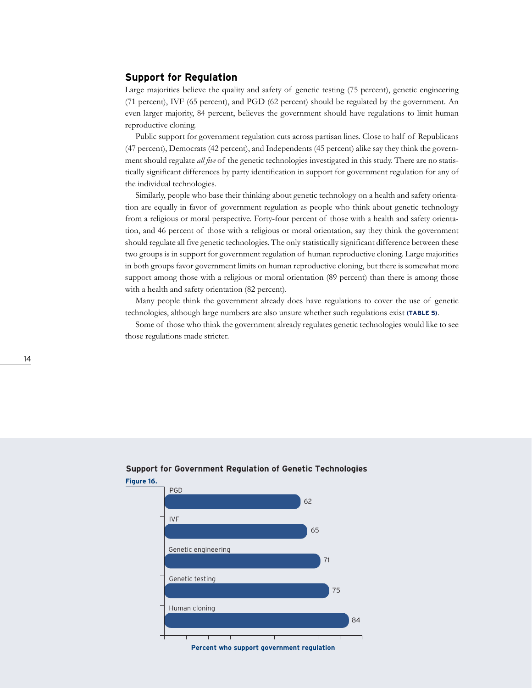## **Support for Regulation**

Large majorities believe the quality and safety of genetic testing (75 percent), genetic engineering (71 percent), IVF (65 percent), and PGD (62 percent) should be regulated by the government. An even larger majority, 84 percent, believes the government should have regulations to limit human reproductive cloning.

Public support for government regulation cuts across partisan lines. Close to half of Republicans (47 percent), Democrats (42 percent), and Independents (45 percent) alike say they think the government should regulate *all five* of the genetic technologies investigated in this study. There are no statistically significant differences by party identification in support for government regulation for any of the individual technologies.

Similarly, people who base their thinking about genetic technology on a health and safety orientation are equally in favor of government regulation as people who think about genetic technology from a religious or moral perspective. Forty-four percent of those with a health and safety orientation, and 46 percent of those with a religious or moral orientation, say they think the government should regulate all five genetic technologies. The only statistically significant difference between these two groups is in support for government regulation of human reproductive cloning. Large majorities in both groups favor government limits on human reproductive cloning, but there is somewhat more support among those with a religious or moral orientation (89 percent) than there is among those with a health and safety orientation (82 percent).

Many people think the government already does have regulations to cover the use of genetic technologies, although large numbers are also unsure whether such regulations exist **(TABLE 5)**.

Some of those who think the government already regulates genetic technologies would like to see those regulations made stricter.



## **Support for Government Regulation of Genetic Technologies**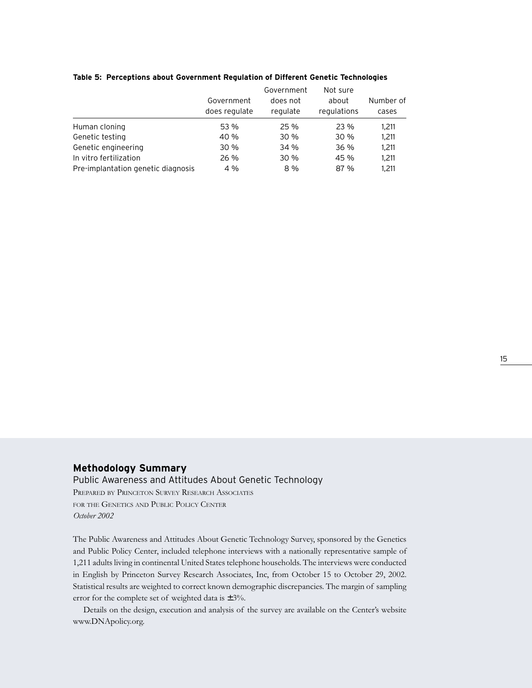|               | Government | Not sure    |           |
|---------------|------------|-------------|-----------|
| Government    | does not   | about       | Number of |
| does regulate | regulate   | regulations | cases     |
| 53 %          | 25 %       | 23 %        | 1,211     |
| 40 %          | 30%        | 30%         | 1,211     |
| 30 %          | 34 %       | 36 %        | 1,211     |
| 26 %          | 30 %       | 45 %        | 1,211     |
| 4 %           | 8%         | 87 %        | 1.211     |
|               |            |             |           |

## **Table 5: Perceptions about Government Regulation of Different Genetic Technologies**

## **Methodology Summary**

Public Awareness and Attitudes About Genetic Technology

PREPARED BY PRINCETON SURVEY RESEARCH ASSOCIATES FOR THE GENETICS AND PUBLIC POLICY CENTER *October 2002*

The Public Awareness and Attitudes About Genetic Technology Survey, sponsored by the Genetics and Public Policy Center, included telephone interviews with a nationally representative sample of 1,211 adults living in continental United States telephone households. The interviews were conducted in English by Princeton Survey Research Associates, Inc, from October 15 to October 29, 2002. Statistical results are weighted to correct known demographic discrepancies. The margin of sampling error for the complete set of weighted data is ±3%.

Details on the design, execution and analysis of the survey are available on the Center's website www.DNApolicy.org.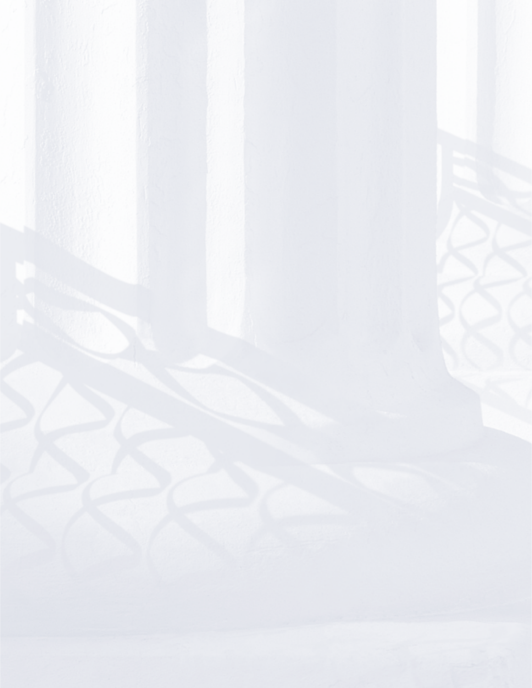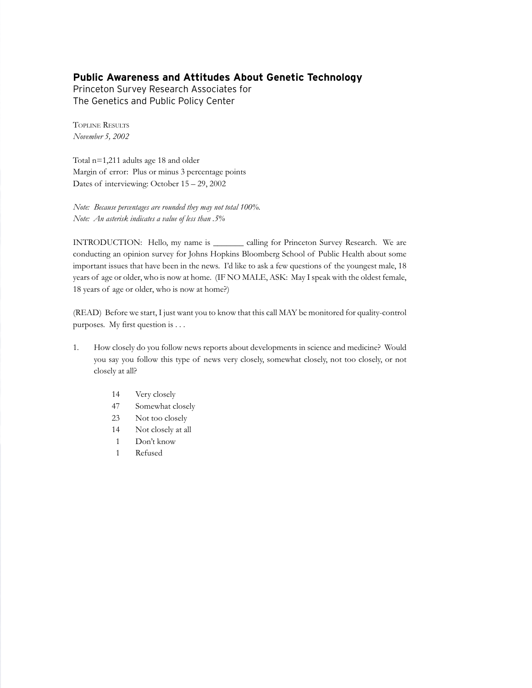# **Public Awareness and Attitudes About Genetic Technology**

Princeton Survey Research Associates for The Genetics and Public Policy Center

TOPLINE RESULTS *November 5, 2002*

Total n=1,211 adults age 18 and older Margin of error: Plus or minus 3 percentage points Dates of interviewing: October 15 – 29, 2002

*Note: Because percentages are rounded they may not total 100%. Note: An asterisk indicates a value of less than .5%*

INTRODUCTION: Hello, my name is \_\_\_\_\_\_\_ calling for Princeton Survey Research. We are conducting an opinion survey for Johns Hopkins Bloomberg School of Public Health about some important issues that have been in the news. I'd like to ask a few questions of the youngest male, 18 years of age or older, who is now at home. (IF NO MALE, ASK: May I speak with the oldest female, 18 years of age or older, who is now at home?)

(READ) Before we start, I just want you to know that this call MAY be monitored for quality-control purposes. My first question is . . .

- 1. How closely do you follow news reports about developments in science and medicine? Would you say you follow this type of news very closely, somewhat closely, not too closely, or not closely at all?
	- 14 Very closely
	- 47 Somewhat closely
	- 23 Not too closely
	- 14 Not closely at all
	- 1 Don't know
	- 1 Refused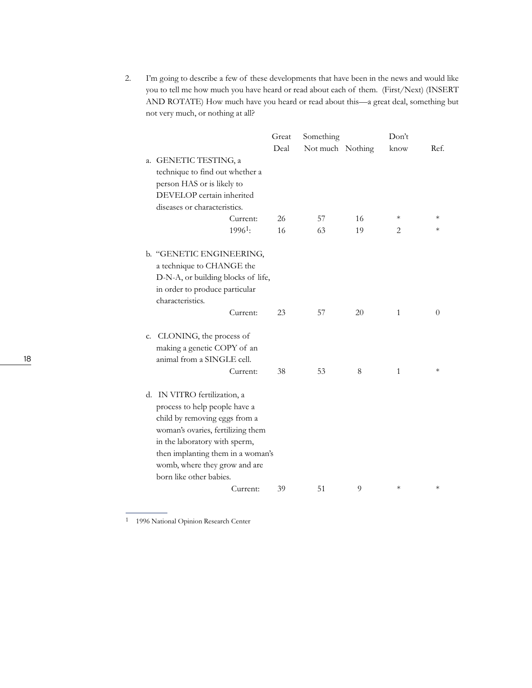2. I'm going to describe a few of these developments that have been in the news and would like you to tell me how much you have heard or read about each of them. (First/Next) (INSERT AND ROTATE) How much have you heard or read about this—a great deal, something but not very much, or nothing at all?

|    |                                    | Great | Something        |    | Don't  |           |
|----|------------------------------------|-------|------------------|----|--------|-----------|
|    |                                    | Deal  | Not much Nothing |    | know   | Ref.      |
|    | a. GENETIC TESTING, a              |       |                  |    |        |           |
|    | technique to find out whether a    |       |                  |    |        |           |
|    | person HAS or is likely to         |       |                  |    |        |           |
|    | DEVELOP certain inherited          |       |                  |    |        |           |
|    | diseases or characteristics.       |       |                  |    |        |           |
|    | Current:                           | 26    | 57               | 16 | $\ast$ | $^{\ast}$ |
|    | 19961:                             | 16    | 63               | 19 | 2      | ∗         |
|    | b. "GENETIC ENGINEERING,           |       |                  |    |        |           |
|    | a technique to CHANGE the          |       |                  |    |        |           |
|    | D-N-A, or building blocks of life, |       |                  |    |        |           |
|    | in order to produce particular     |       |                  |    |        |           |
|    | characteristics.                   |       |                  |    |        |           |
|    | Current:                           | 23    | 57               | 20 | 1      | 0         |
| c. | CLONING, the process of            |       |                  |    |        |           |
|    | making a genetic COPY of an        |       |                  |    |        |           |
|    | animal from a SINGLE cell.         |       |                  |    |        |           |
|    | Current:                           | 38    | 53               | 8  | 1      | $^\ast$   |
| d. | IN VITRO fertilization, a          |       |                  |    |        |           |
|    | process to help people have a      |       |                  |    |        |           |
|    | child by removing eggs from a      |       |                  |    |        |           |
|    | woman's ovaries, fertilizing them  |       |                  |    |        |           |
|    | in the laboratory with sperm,      |       |                  |    |        |           |
|    | then implanting them in a woman's  |       |                  |    |        |           |
|    | womb, where they grow and are      |       |                  |    |        |           |
|    | born like other babies.            |       |                  |    |        |           |
|    | Current:                           | 39    | 51               | 9  | $\ast$ | $^\ast$   |

<sup>1 1996</sup> National Opinion Research Center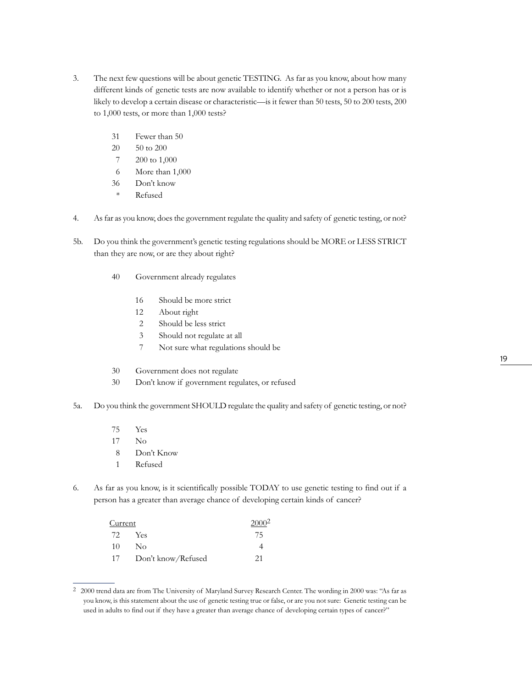- 3. The next few questions will be about genetic TESTING. As far as you know, about how many different kinds of genetic tests are now available to identify whether or not a person has or is likely to develop a certain disease or characteristic—is it fewer than 50 tests, 50 to 200 tests, 200 to 1,000 tests, or more than 1,000 tests?
	- 31 Fewer than 50
	- 20 50 to 200
	- 7 200 to 1,000
	- 6 More than 1,000
	- 36 Don't know
	- \* Refused
- 4. As far as you know, does the government regulate the quality and safety of genetic testing, or not?
- 5b. Do you think the government's genetic testing regulations should be MORE or LESS STRICT than they are now, or are they about right?
	- 40 Government already regulates
		- 16 Should be more strict
		- 12 About right
		- 2 Should be less strict
		- 3 Should not regulate at all
		- 7 Not sure what regulations should be
	- 30 Government does not regulate
	- 30 Don't know if government regulates, or refused
- 5a. Do you think the government SHOULD regulate the quality and safety of genetic testing, or not?
	- 75 Yes
	- 17 No
	- 8 Don't Know
	- 1 Refused
- 6. As far as you know, is it scientifically possible TODAY to use genetic testing to find out if a person has a greater than average chance of developing certain kinds of cancer?

| Current |                    | 2000 <sup>2</sup> |
|---------|--------------------|-------------------|
| 72      | Yes                | 75                |
| -10     | $\overline{N}_{0}$ |                   |
| 17      | Don't know/Refused | 21                |

<sup>2 2000</sup> trend data are from The University of Maryland Survey Research Center. The wording in 2000 was: "As far as you know, is this statement about the use of genetic testing true or false, or are you not sure: Genetic testing can be used in adults to find out if they have a greater than average chance of developing certain types of cancer?"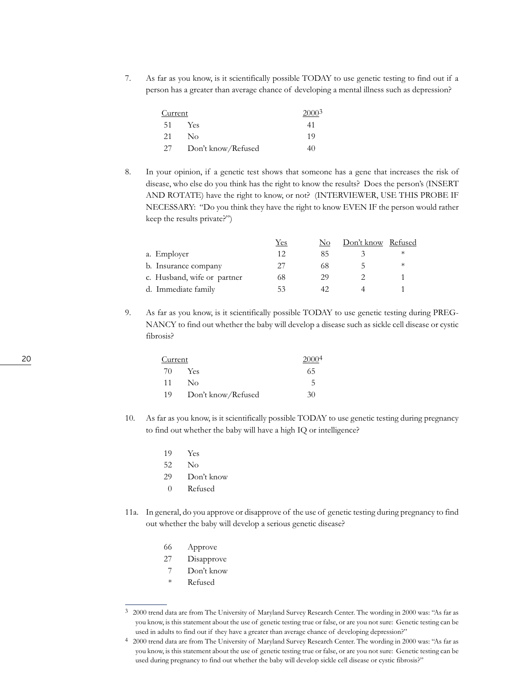7. As far as you know, is it scientifically possible TODAY to use genetic testing to find out if a person has a greater than average chance of developing a mental illness such as depression?

| Current |                         |    |
|---------|-------------------------|----|
| -51     | Yes                     | 41 |
| 21      | $\overline{N}_{\Omega}$ | 19 |
| 27      | Don't know/Refused      | 40 |

8. In your opinion, if a genetic test shows that someone has a gene that increases the risk of disease, who else do you think has the right to know the results? Does the person's (INSERT AND ROTATE) have the right to know, or not? (INTERVIEWER, USE THIS PROBE IF NECESSARY: "Do you think they have the right to know EVEN IF the person would rather keep the results private?")

|                             | Yes | No | Don't know Refused |   |
|-----------------------------|-----|----|--------------------|---|
| a. Employer                 | 12  | 85 |                    |   |
| b. Insurance company        | 27  | 68 |                    | ∗ |
| c. Husband, wife or partner | 68  | 29 |                    |   |
| d. Immediate family         | 53  |    |                    |   |

9. As far as you know, is it scientifically possible TODAY to use genetic testing during PREG-NANCY to find out whether the baby will develop a disease such as sickle cell disease or cystic fibrosis?

| Current | 20004              |    |
|---------|--------------------|----|
| 70      | Yes                | 65 |
| 11      | No                 | 5  |
| 19      | Don't know/Refused | 30 |

10. As far as you know, is it scientifically possible TODAY to use genetic testing during pregnancy to find out whether the baby will have a high IQ or intelligence?

| 19 | Yes        |
|----|------------|
| 52 | $\sqrt{Q}$ |

- 29 Don't know
- 0 Refused
- 11a. In general, do you approve or disapprove of the use of genetic testing during pregnancy to find out whether the baby will develop a serious genetic disease?
	- 66 Approve
	- 27 Disapprove
	- 7 Don't know
	- \* Refused

<sup>3 2000</sup> trend data are from The University of Maryland Survey Research Center. The wording in 2000 was: "As far as you know, is this statement about the use of genetic testing true or false, or are you not sure: Genetic testing can be used in adults to find out if they have a greater than average chance of developing depression?"

<sup>4 2000</sup> trend data are from The University of Maryland Survey Research Center. The wording in 2000 was: "As far as you know, is this statement about the use of genetic testing true or false, or are you not sure: Genetic testing can be used during pregnancy to find out whether the baby will develop sickle cell disease or cystic fibrosis?"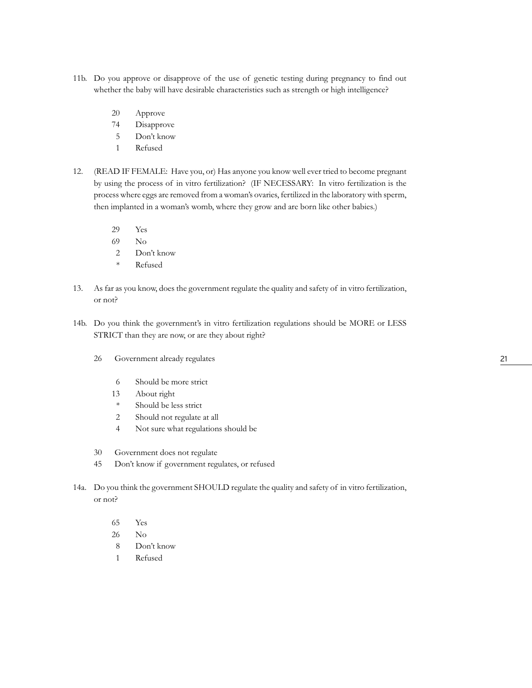- 11b. Do you approve or disapprove of the use of genetic testing during pregnancy to find out whether the baby will have desirable characteristics such as strength or high intelligence?
	- 20 Approve
	- 74 Disapprove
	- 5 Don't know
	- 1 Refused
- 12. (READ IF FEMALE: Have you, or) Has anyone you know well ever tried to become pregnant by using the process of in vitro fertilization? (IF NECESSARY: In vitro fertilization is the process where eggs are removed from a woman's ovaries, fertilized in the laboratory with sperm, then implanted in a woman's womb, where they grow and are born like other babies.)
	- 29 Yes
	- 69 No
	- 2 Don't know
	- \* Refused
- 13. As far as you know, does the government regulate the quality and safety of in vitro fertilization, or not?
- 14b. Do you think the government's in vitro fertilization regulations should be MORE or LESS STRICT than they are now, or are they about right?
	- 26 Government already regulates
		- 6 Should be more strict
		- 13 About right
		- \* Should be less strict
		- 2 Should not regulate at all
		- 4 Not sure what regulations should be
	- 30 Government does not regulate
	- 45 Don't know if government regulates, or refused
- 14a. Do you think the government SHOULD regulate the quality and safety of in vitro fertilization, or not?
	- 65 Yes
	- 26 No
	- 8 Don't know
	- 1 Refused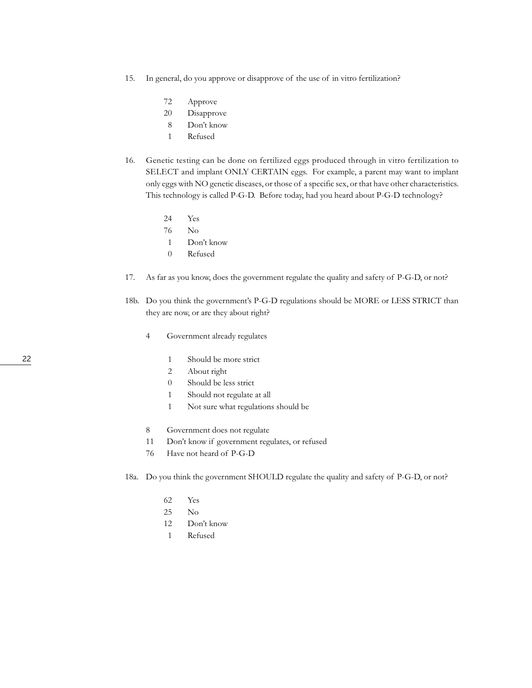- 15. In general, do you approve or disapprove of the use of in vitro fertilization?
	- 72 Approve
	- 20 Disapprove
	- 8 Don't know
	- 1 Refused
- 16. Genetic testing can be done on fertilized eggs produced through in vitro fertilization to SELECT and implant ONLY CERTAIN eggs. For example, a parent may want to implant only eggs with NO genetic diseases, or those of a specific sex, or that have other characteristics. This technology is called P-G-D. Before today, had you heard about P-G-D technology?
	- 24 Yes
	- 76 No
	- 1 Don't know
	- 0 Refused
- 17. As far as you know, does the government regulate the quality and safety of P-G-D, or not?
- 18b. Do you think the government's P-G-D regulations should be MORE or LESS STRICT than they are now, or are they about right?
	- 4 Government already regulates
		- 1 Should be more strict
		- 2 About right
		- 0 Should be less strict
		- 1 Should not regulate at all
		- 1 Not sure what regulations should be
	- 8 Government does not regulate
	- 11 Don't know if government regulates, or refused
	- 76 Have not heard of P-G-D
- 18a. Do you think the government SHOULD regulate the quality and safety of P-G-D, or not?
	- 62 Yes
	- 25 No
	- 12 Don't know
	- 1 Refused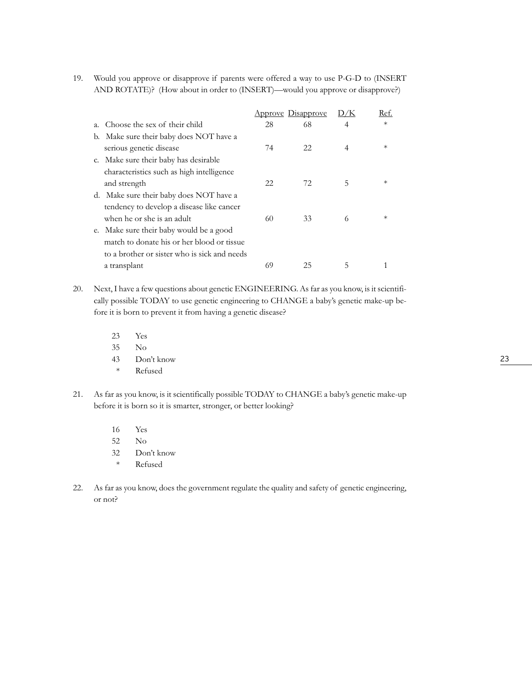19. Would you approve or disapprove if parents were offered a way to use P-G-D to (INSERT AND ROTATE)? (How about in order to (INSERT)—would you approve or disapprove?)

|                |                                              |    | <u>Approve</u> Disapprove |   | Ref.      |
|----------------|----------------------------------------------|----|---------------------------|---|-----------|
| $\mathbf{a}$ . | Choose the sex of their child                | 28 | 68                        | 4 | $\ast$    |
| b.             | Make sure their baby does NOT have a         |    |                           |   |           |
|                | serious genetic disease                      | 74 | 22                        | 4 | $\ast$    |
|                | c. Make sure their baby has desirable        |    |                           |   |           |
|                | characteristics such as high intelligence    |    |                           |   |           |
|                | and strength                                 | 22 | 72                        | 5 | $^{\ast}$ |
|                | d. Make sure their baby does NOT have a      |    |                           |   |           |
|                | tendency to develop a disease like cancer    |    |                           |   |           |
|                | when he or she is an adult                   | 60 | 33                        | 6 | $\ast$    |
|                | e. Make sure their baby would be a good      |    |                           |   |           |
|                | match to donate his or her blood or tissue   |    |                           |   |           |
|                | to a brother or sister who is sick and needs |    |                           |   |           |
|                | a transplant                                 | 69 | 25                        | 5 |           |

- 20. Next, I have a few questions about genetic ENGINEERING. As far as you know, is it scientifically possible TODAY to use genetic engineering to CHANGE a baby's genetic make-up before it is born to prevent it from having a genetic disease?
	- 23 Yes
	- 35 No
	- 43 Don't know
	- \* Refused
- 21. As far as you know, is it scientifically possible TODAY to CHANGE a baby's genetic make-up before it is born so it is smarter, stronger, or better looking?
	- 16 Yes
	- 52 No
	- 32 Don't know
	- \* Refused
- 22. As far as you know, does the government regulate the quality and safety of genetic engineering, or not?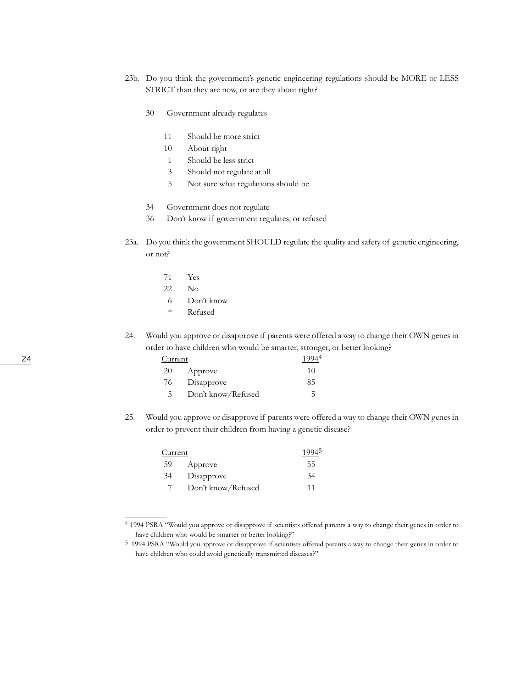- 23b. Do you think the government's genetic engineering regulations should be MORE or LESS STRICT than they are now, or are they about right?
	- 30 Government already regulates
		- 11 Should be more strict
		- 10 About right
		- 1 Should be less strict
		- 3 Should not regulate at all
		- 5 Not sure what regulations should be
	- 34 Government does not regulate
	- 36 Don't know if government regulates, or refused
- 23a. Do you think the government SHOULD regulate the quality and safety of genetic engineering, or not?
	- 71 Yes
	- 22 No
	- 6 Don't know
	- \* Refused
- 24. Would you approve or disapprove if parents were offered a way to change their OWN genes in order to have children who would be smarter, stronger, or better looking?

| Current | 19944              |    |
|---------|--------------------|----|
| 20      | Approve            | 10 |
| 76      | Disapprove         | 85 |
| 5       | Don't know/Refused | ц  |

25. Would you approve or disapprove if parents were offered a way to change their OWN genes in order to prevent their children from having a genetic disease?

| Current |                    | 19945 |  |
|---------|--------------------|-------|--|
| 59      | Approve            | 55    |  |
| 34      | Disapprove         | 34    |  |
|         | Don't know/Refused | 11    |  |

<sup>4</sup> 1994 PSRA "Would you approve or disapprove if scientists offered parents a way to change their genes in order to have children who would be smarter or better looking?"

<sup>5 1994</sup> PSRA "Would you approve or disapprove if scientists offered parents a way to change their genes in order to have children who could avoid genetically transmitted diseases?"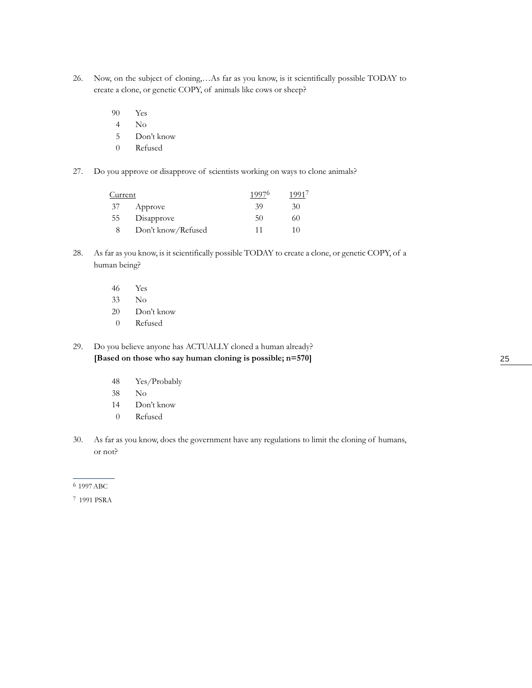- 26. Now, on the subject of cloning,…As far as you know, is it scientifically possible TODAY to create a clone, or genetic COPY, of animals like cows or sheep?
	- 90 Yes
	- 4 No
	- 5 Don't know
	- 0 Refused
- 27. Do you approve or disapprove of scientists working on ways to clone animals?

| Current |                    | 19976 | 19917 |
|---------|--------------------|-------|-------|
| 37      | Approve            | 39    | 30    |
| 55      | Disapprove         | 50    | 60    |
| 8       | Don't know/Refused | 11    | 10    |

28. As far as you know, is it scientifically possible TODAY to create a clone, or genetic COPY, of a human being?

| 46               | Yes        |
|------------------|------------|
| 33               | Nο         |
| 20               | Don't know |
| $\left( \right)$ | Refused    |

<sup>29.</sup> Do you believe anyone has ACTUALLY cloned a human already? **[Based on those who say human cloning is possible; n=570]**

- 48 Yes/Probably
- 38 No
- 14 Don't know
- 0 Refused
- 30. As far as you know, does the government have any regulations to limit the cloning of humans, or not?

<sup>6 1997</sup> ABC

<sup>7 1991</sup> PSRA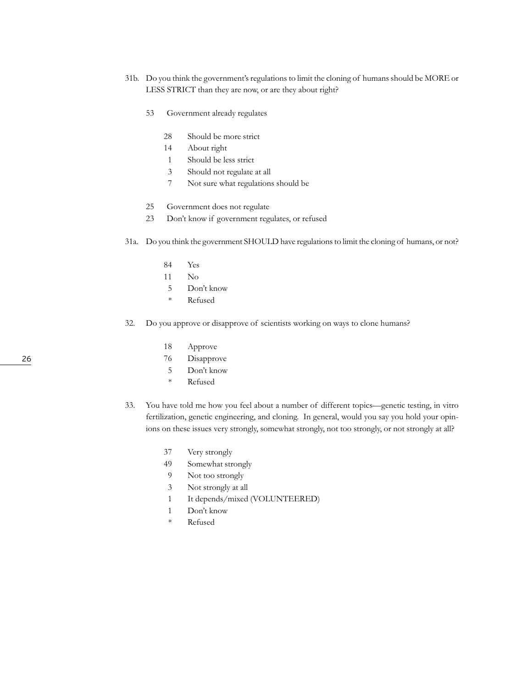- 31b. Do you think the government's regulations to limit the cloning of humans should be MORE or LESS STRICT than they are now, or are they about right?
	- 53 Government already regulates
		- 28 Should be more strict
		- 14 About right
		- 1 Should be less strict
		- 3 Should not regulate at all
		- 7 Not sure what regulations should be
	- 25 Government does not regulate
	- 23 Don't know if government regulates, or refused
- 31a. Do you think the government SHOULD have regulations to limit the cloning of humans, or not?
	- 84 Yes
	- 11 No
	- 5 Don't know
	- \* Refused
- 32. Do you approve or disapprove of scientists working on ways to clone humans?
	- 18 Approve
	- 76 Disapprove
	- 5 Don't know
	- \* Refused
- 33. You have told me how you feel about a number of different topics—genetic testing, in vitro fertilization, genetic engineering, and cloning. In general, would you say you hold your opinions on these issues very strongly, somewhat strongly, not too strongly, or not strongly at all?
	- 37 Very strongly
	- 49 Somewhat strongly
	- 9 Not too strongly
	- 3 Not strongly at all
	- 1 It depends/mixed (VOLUNTEERED)
	- 1 Don't know
	- \* Refused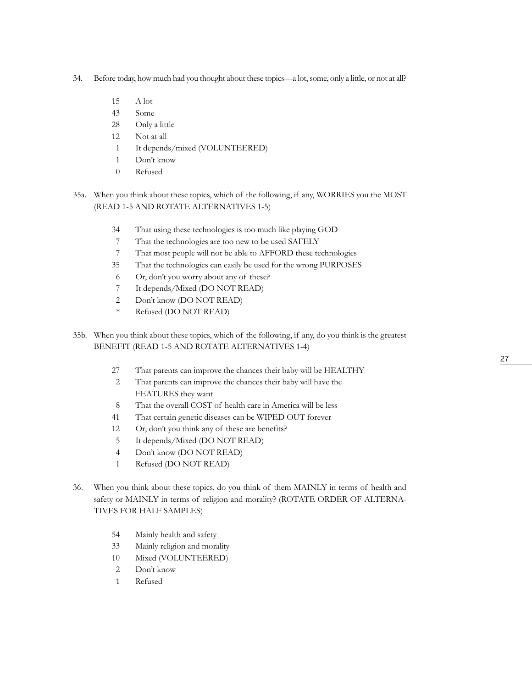- 34. Before today, how much had you thought about these topics—a lot, some, only a little, or not at all?
	- 15 A lot
	- 43 Some
	- 28 Only a little
	- 12 Not at all
	- 1 It depends/mixed (VOLUNTEERED)
	- 1 Don't know
	- 0 Refused
- 35a. When you think about these topics, which of the following, if any, WORRIES you the MOST (READ 1-5 AND ROTATE ALTERNATIVES 1-5)
	- 34 That using these technologies is too much like playing GOD
	- 7 That the technologies are too new to be used SAFELY
	- 7 That most people will not be able to AFFORD these technologies
	- 35 That the technologies can easily be used for the wrong PURPOSES
	- 6 Or, don't you worry about any of these?
	- 7 It depends/Mixed (DO NOT READ)
	- 2 Don't know (DO NOT READ)
	- \* Refused (DO NOT READ)
- 35b. When you think about these topics, which of the following, if any, do you think is the greatest BENEFIT (READ 1-5 AND ROTATE ALTERNATIVES 1-4)
	- 27 That parents can improve the chances their baby will be HEALTHY
	- 2 That parents can improve the chances their baby will have the FEATURES they want
	- 8 That the overall COST of health care in America will be less
	- 41 That certain genetic diseases can be WIPED OUT forever
	- 12 Or, don't you think any of these are benefits?
	- 5 It depends/Mixed (DO NOT READ)
	- 4 Don't know (DO NOT READ)
	- 1 Refused (DO NOT READ)
- 36. When you think about these topics, do you think of them MAINLY in terms of health and safety or MAINLY in terms of religion and morality? (ROTATE ORDER OF ALTERNA-TIVES FOR HALF SAMPLES)
	- 54 Mainly health and safety
	- 33 Mainly religion and morality
	- 10 Mixed (VOLUNTEERED)
	- 2 Don't know
	- 1 Refused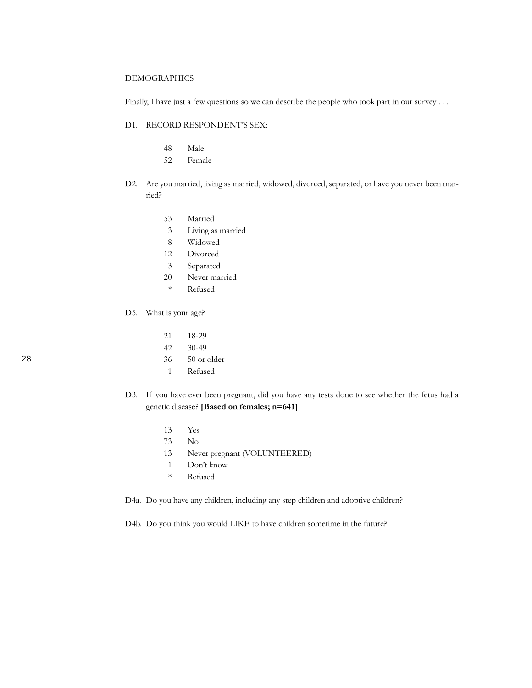## DEMOGRAPHICS

Finally, I have just a few questions so we can describe the people who took part in our survey . . .

## D1. RECORD RESPONDENT'S SEX:

- 48 Male
- 52 Female
- D2. Are you married, living as married, widowed, divorced, separated, or have you never been married?
	- 53 Married
	- 3 Living as married
	- 8 Widowed
	- 12 Divorced
	- 3 Separated
	- 20 Never married
		- \* Refused
- D5. What is your age?
	- 21 18-29
	- 42 30-49
	- 36 50 or older
	- 1 Refused
- D3. If you have ever been pregnant, did you have any tests done to see whether the fetus had a genetic disease? **[Based on females; n=641]**
	- 13 Yes
	- 73 No
	- 13 Never pregnant (VOLUNTEERED)
	- 1 Don't know
	- \* Refused

D4a. Do you have any children, including any step children and adoptive children?

D4b. Do you think you would LIKE to have children sometime in the future?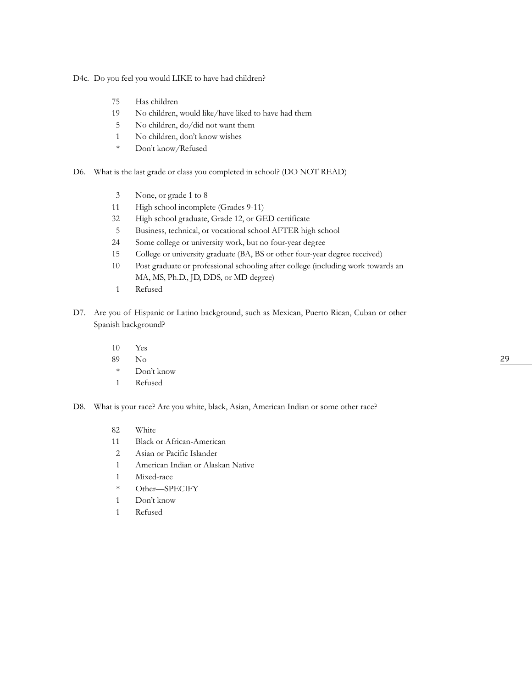D4c. Do you feel you would LIKE to have had children?

- 75 Has children
- 19 No children, would like/have liked to have had them
- 5 No children, do/did not want them
- 1 No children, don't know wishes
- \* Don't know/Refused
- D6. What is the last grade or class you completed in school? (DO NOT READ)
	- 3 None, or grade 1 to 8
	- 11 High school incomplete (Grades 9-11)
	- 32 High school graduate, Grade 12, or GED certificate
	- 5 Business, technical, or vocational school AFTER high school
	- 24 Some college or university work, but no four-year degree
	- 15 College or university graduate (BA, BS or other four-year degree received)
	- 10 Post graduate or professional schooling after college (including work towards an MA, MS, Ph.D., JD, DDS, or MD degree)
	- 1 Refused
- D7. Are you of Hispanic or Latino background, such as Mexican, Puerto Rican, Cuban or other Spanish background?
	- 10 Yes
	- 89 No
	- \* Don't know
	- 1 Refused
- D8. What is your race? Are you white, black, Asian, American Indian or some other race?
	- 82 White
	- 11 Black or African-American
	- 2 Asian or Pacific Islander
	- 1 American Indian or Alaskan Native
	- 1 Mixed-race
	- \* Other—SPECIFY
	- 1 Don't know
	- 1 Refused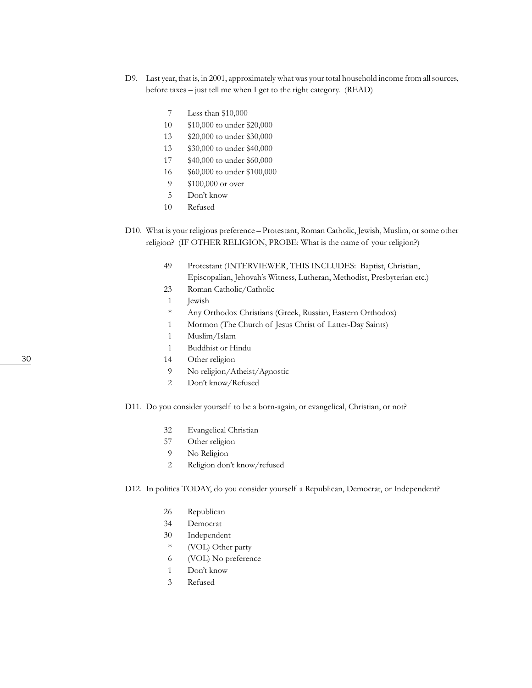- D9. Last year, that is, in 2001, approximately what was your total household income from all sources, before taxes – just tell me when I get to the right category. (READ)
	- 7 Less than \$10,000
	- 10 \$10,000 to under \$20,000
	- 13 \$20,000 to under \$30,000
	- 13 \$30,000 to under \$40,000
	- 17 \$40,000 to under \$60,000
	- 16 \$60,000 to under \$100,000
	- 9 \$100,000 or over
	- 5 Don't know
	- 10 Refused
- D10. What is your religious preference Protestant, Roman Catholic, Jewish, Muslim, or some other religion? (IF OTHER RELIGION, PROBE: What is the name of your religion?)
	- 49 Protestant (INTERVIEWER, THIS INCLUDES: Baptist, Christian, Episcopalian, Jehovah's Witness, Lutheran, Methodist, Presbyterian etc.)
	- 23 Roman Catholic/Catholic
	- 1 Jewish
	- Any Orthodox Christians (Greek, Russian, Eastern Orthodox)
	- 1 Mormon (The Church of Jesus Christ of Latter-Day Saints)
	- 1 Muslim/Islam
	- 1 Buddhist or Hindu
	- 14 Other religion
	- 9 No religion/Atheist/Agnostic
	- 2 Don't know/Refused

## D11. Do you consider yourself to be a born-again, or evangelical, Christian, or not?

- 32 Evangelical Christian
- 57 Other religion
- 9 No Religion
- 2 Religion don't know/refused

D12. In politics TODAY, do you consider yourself a Republican, Democrat, or Independent?

- 26 Republican
- 34 Democrat
- 30 Independent
- \* (VOL) Other party
- 6 (VOL) No preference
- 1 Don't know
- 3 Refused